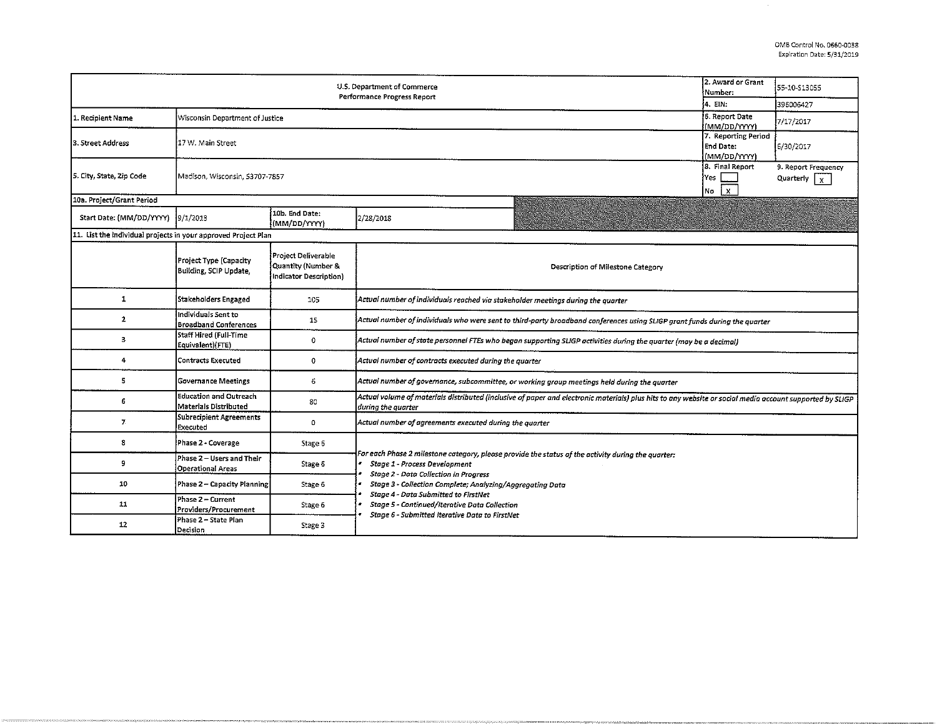| U.S. Department of Commerce<br><b>Performance Progress Report</b> |                                                               |                                                                     |                                                                                                                                                                                                                                                                                                                                           |         | 55-10-S13055 |  |  |  |  |
|-------------------------------------------------------------------|---------------------------------------------------------------|---------------------------------------------------------------------|-------------------------------------------------------------------------------------------------------------------------------------------------------------------------------------------------------------------------------------------------------------------------------------------------------------------------------------------|---------|--------------|--|--|--|--|
|                                                                   |                                                               |                                                                     |                                                                                                                                                                                                                                                                                                                                           | 4. EIN: | 396006427    |  |  |  |  |
| 1. Recipient Name                                                 | 6. Report Date<br>(MM/DD/YYYY)                                | 7/17/2017                                                           |                                                                                                                                                                                                                                                                                                                                           |         |              |  |  |  |  |
| 3. Street Address                                                 | 17 W. Main Street                                             | 7. Reporting Period<br><b>End Date:</b><br>(MM/DD/YYYY)             | 6/30/2017                                                                                                                                                                                                                                                                                                                                 |         |              |  |  |  |  |
| 5. City, State, Zip Code                                          | Madison, Wisconsin, 53707-7857                                | 8. Final Report<br>Yes<br>$\mathbf{x}$<br>No                        | 9. Report Frequency<br>Quarterly $\overline{X}$                                                                                                                                                                                                                                                                                           |         |              |  |  |  |  |
| 30a. Project/Grant Period                                         |                                                               |                                                                     |                                                                                                                                                                                                                                                                                                                                           |         |              |  |  |  |  |
| Start Date: (MM/DD/YYYY)  9/1/2013                                |                                                               | 10b. End Date:<br>(MM/DD/YYYY)                                      | 2/28/2018                                                                                                                                                                                                                                                                                                                                 |         |              |  |  |  |  |
| 11. List the individual projects in your approved Project Plan    |                                                               |                                                                     |                                                                                                                                                                                                                                                                                                                                           |         |              |  |  |  |  |
|                                                                   | Project Type (Capacity<br>Building, SCIP Update.              | Project Deliverable<br>Quantity (Number &<br>Indicator Description) | Description of Milestone Category                                                                                                                                                                                                                                                                                                         |         |              |  |  |  |  |
| 1                                                                 | Stakeholders Engaged                                          | 105                                                                 | Actual number of individuals reached via stakeholder meetings during the quarter                                                                                                                                                                                                                                                          |         |              |  |  |  |  |
| $\mathbf{2}$                                                      | Individuals Sent to<br><b>Broadband Conferences</b>           | 15                                                                  | Actual number of individuals who were sent to third-party broadband conferences using SLIGP grant funds during the quarter                                                                                                                                                                                                                |         |              |  |  |  |  |
| з                                                                 | Staff Hired (Full-Time<br>Equivalent)(FTE)                    | $\mathbf{0}$                                                        | Actual number of state personnel FTEs who began supporting SLIGP activities during the quarter (may be a decimal)                                                                                                                                                                                                                         |         |              |  |  |  |  |
| 4                                                                 | <b>Contracts Executed</b>                                     | 0                                                                   | Actual number of contracts executed during the quarter                                                                                                                                                                                                                                                                                    |         |              |  |  |  |  |
| 5                                                                 | <b>Governance Meetings</b>                                    | 6                                                                   | Actual number of governance, subcommittee, or working group meetings held during the quarter                                                                                                                                                                                                                                              |         |              |  |  |  |  |
| 6                                                                 | <b>Education and Outreach</b><br><b>Materials Distributed</b> | 80                                                                  | Actual volume of materials distributed (inclusive of paper and electronic materials) plus hits to any website or social media account supported by SLIGP<br>during the quarter                                                                                                                                                            |         |              |  |  |  |  |
| 7                                                                 | Subrecipient Agreements<br>Executed                           | $\circ$                                                             | Actual number of agreements executed during the quarter                                                                                                                                                                                                                                                                                   |         |              |  |  |  |  |
| 8                                                                 | Phase 2 - Coverage                                            | Stage 6                                                             |                                                                                                                                                                                                                                                                                                                                           |         |              |  |  |  |  |
| 9                                                                 | Phase 2 – Users and Their<br><b>Operational Areas</b>         | Stage 6                                                             | For each Phase 2 milestone category, please provide the status of the activity during the quarter:<br>Stage 1 - Process Development<br><b>Stage 2 - Data Collection in Progress</b><br>Stage 3 - Collection Complete; Analyzing/Aggregating Data<br>Stage 4 - Data Submitted to FirstNet<br>Stage 5 - Continued/Iterative Data Collection |         |              |  |  |  |  |
| 10                                                                | Phase 2 - Capacity Planning                                   | Stage 6                                                             |                                                                                                                                                                                                                                                                                                                                           |         |              |  |  |  |  |
| 11                                                                | Phase 2 – Current<br>Providers/Procurement                    | Stage 6                                                             |                                                                                                                                                                                                                                                                                                                                           |         |              |  |  |  |  |
| 12                                                                | Phase 2 - State Plan<br>Decision                              | Stage 3                                                             | Stage 6 - Submitted Iterative Data to FirstNet                                                                                                                                                                                                                                                                                            |         |              |  |  |  |  |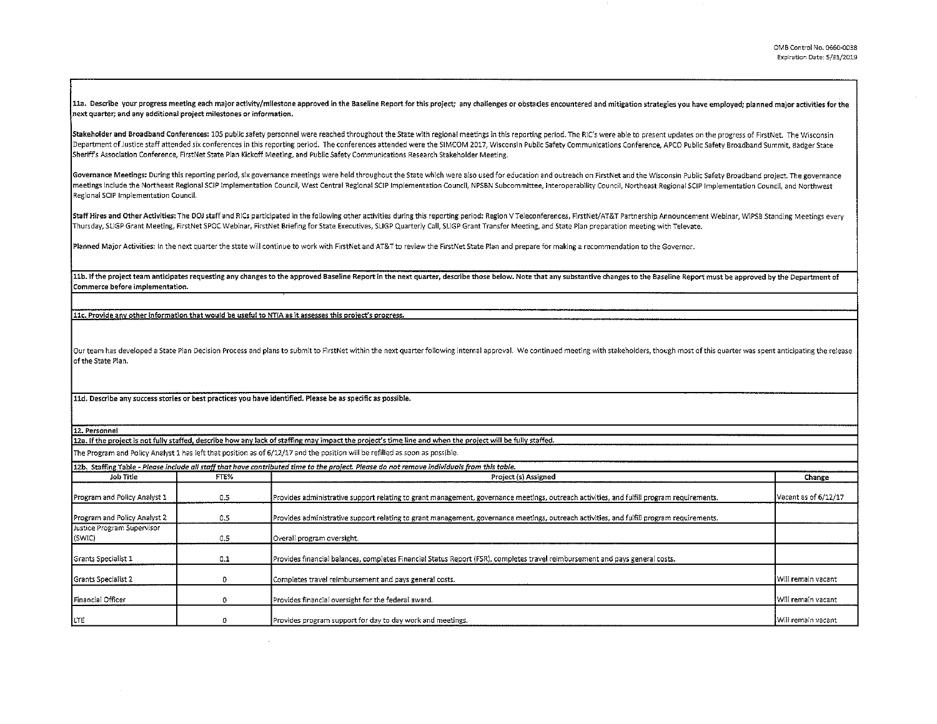11a. Describe your progress meeting each major activity/milestone approved in the Baseline Report for this project; any challenges or obstacles encountered and mitigation strategies you have employed; planned major activit next quarter; and any additional project milestones or information.

Stakeholder and Broadband Conferences: 105 public safety personnel were reached throughout the State with regional meetings in this reporting period. The RIC's were able to present updates on the progress of FirstNet. The Department of Justice staff attended six conferences in this reporting period. The conferences attended were the SIMCOM 2017, Wisconsin Public Safety Communications Conference, APCO Public Safety Broadband Summit, Badger S Sheriff's Association Conference, FirstNet State Plan Kickoff Meeting, and Public Safety Communications Research Stakeholder Meeting.

Governance Meetings: During this reporting period, six governance meetings were held throughout the State which were also used for education and outreach on FirstNet and the Wisconsin Public Safety Broadband project. The g meetings include the Northeast Regional SCIP Implementation Council, West Central Regional SCIP Implementation Council, NPSBN Subcommittee, Interoperability Council, Northeast Regional SCIP Implementation Council, and Nort Regional SCIP Implementation Council.

Staff Hires and Other Activities: The DOJ staff and RICs participated in the following other activities during this reporting period: Region V Teleconferences, FirstNet/AT&T Partnership Announcement Webinar, WiPSB Standing Thursday, SLIGP Grant Meeting, First Net SPOC Webinar, FirstNet Briefing for State Executives, SLIGP Quarterly Call, SL!GP Grant Transfer Meeting, and State Plan preparation meeting with Televate.

Planned Major Activities: In the next quarter the state will continue to work with FirstNet and AT&T to review the FirstNet State Plan and prepare for making a recommendation to the Governor.

11b. If the project team anticipates requesting any changes to the approved Baseline Report in the next quarter, describe those below. Note that any substantive changes to the Baseline Report must be approved by the Depart Commerce before implementation.

11c. Provide any other information that would be useful to NTIA as it assesses this project's progress.

Our team has developed a State Plan Decision Process and plans to submit to FirstNet within the next quarter following internal approval. We continued meeting with stakeholders, though most of this quarter was spent antici of the State Plan.

11d. Describe any success stories or best practices you have identified. Please be as specific as possible.

12. Personnel

12a. If the project is not fully staffed, describe how any lack of staffing may impact the project's time line and when the project will be fully staffed. The Program and Policy Analyst 1 has left that position as of 6/12/17 and the position will be refilled as soon as possible.

|                                      |      | 12b. Staffing Table - Please include all staff that have contributed time to the project. Please do not remove individuals from this table. |                      |
|--------------------------------------|------|---------------------------------------------------------------------------------------------------------------------------------------------|----------------------|
| Job Title                            | FTE% | Project (s) Assigned                                                                                                                        | Change               |
| Program and Policy Analyst 1         | 0.5  | Provides administrative support relating to grant management, governance meetings, outreach activities, and fulfill program requirements.   | Vacant as of 6/12/17 |
| Program and Policy Analyst 2         | 0.5  | Provides administrative support relating to grant management, governance meetings, outreach activities, and fulfill program requirements.   |                      |
| Justice Program Supervisor<br>(SWIC) | 0.5  | Overall program oversight.                                                                                                                  |                      |
| Grants Specialist 1                  | 0.1  | Provides financial balances, completes Financial Status Report (FSR), completes travel reimbursement and pays general costs.                |                      |
| Grants Specialist 2                  |      | Completes travel reimbursement and pays general costs.                                                                                      | Will remain vacant   |
| Financial Officer                    |      | Provides financial oversight for the federal award.                                                                                         | Will remain vacant   |
| LTE                                  |      | Provides program support for day to day work and meetings.                                                                                  | Will remain vacant   |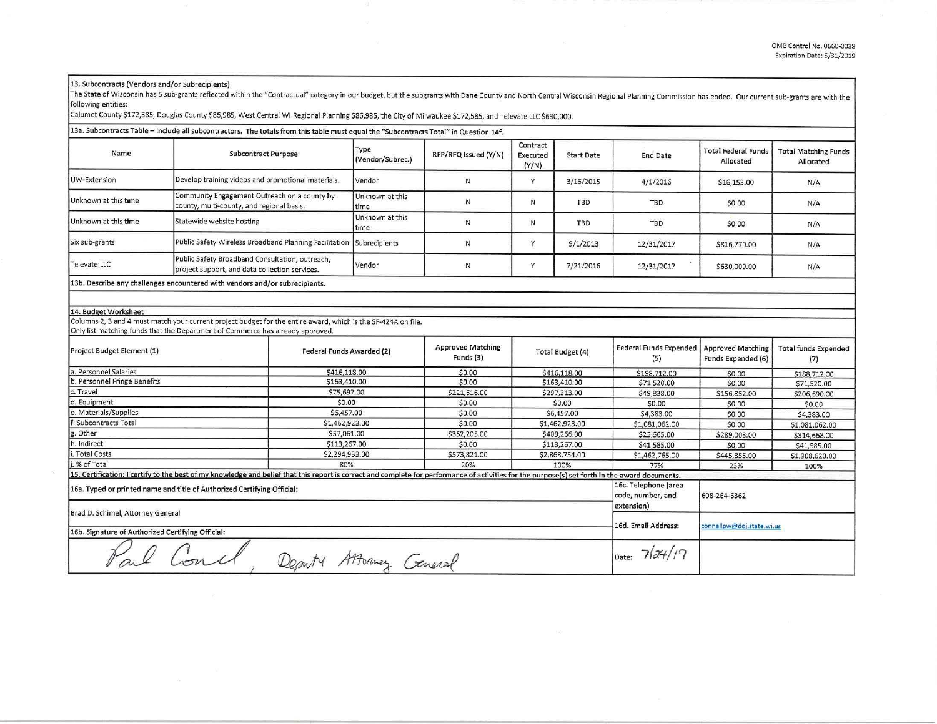## 13. Subcontracts (Vendors and/or Subrecipients)

The State of Wisconsin has 5 sub-grants reflected within the "Contractual" category in our budget, but the subgrants with Dane County and North Central Wisconsin Regional Planning Commission has ended. Our current sub-gran following entities:

Calumet County \$172,585, Douglas County \$86,985, West Central WI Regional Planning \$86,985, the City of Milwaukee \$172,585, and Televate LLC \$630,000.

|                                                                         | 13a. Subcontracts Table - Include all subcontractors. The totals from this table must equal the "Subcontracts Total" in Question 14f.                                                           |                                                         |                                       |                                      |                   |                                      |                                                |                                          |
|-------------------------------------------------------------------------|-------------------------------------------------------------------------------------------------------------------------------------------------------------------------------------------------|---------------------------------------------------------|---------------------------------------|--------------------------------------|-------------------|--------------------------------------|------------------------------------------------|------------------------------------------|
| Name                                                                    | <b>Subcontract Purpose</b>                                                                                                                                                                      | Type<br>(Vendor/Subrec.)                                | RFP/RFQ Issued (Y/N)                  | Contract<br><b>Executed</b><br>(Y/N) | <b>Start Date</b> | <b>End Date</b>                      | <b>Total Federal Funds</b><br>Allocated        | <b>Total Matching Funds</b><br>Allocated |
| <b>UW-Extension</b>                                                     | Develop training videos and promotional materials.                                                                                                                                              | Vendor                                                  | $\mathsf{N}$                          | Y                                    | 3/16/2015         | 4/1/2016                             | \$16,153.00                                    | N/A                                      |
| Unknown at this time                                                    | Community Engagement Outreach on a county by<br>county, multi-county, and regional basis.                                                                                                       | Unknown at this<br>time                                 | N                                     | N                                    | TBD               | <b>TBD</b>                           | \$0.00                                         | N/A                                      |
| Unknown at this time                                                    | Statewide website hosting                                                                                                                                                                       | Unknown at this<br>time                                 | N                                     | N                                    | <b>TBD</b>        | TBD                                  | \$0.00                                         | N/A                                      |
| Six sub-grants                                                          | Public Safety Wireless Broadband Planning Facilitation Subrecipients                                                                                                                            |                                                         | N                                     | Y                                    | 9/1/2013          | 12/31/2017                           | \$816,770.00                                   | N/A                                      |
| Televate LLC                                                            | Public Safety Broadband Consultation, outreach,<br>project support, and data collection services.                                                                                               | Vendor                                                  | N                                     | Y                                    | 7/21/2016         | 12/31/2017                           | \$630,000.00                                   | N/A                                      |
|                                                                         | 13b. Describe any challenges encountered with vendors and/or subrecipients.                                                                                                                     |                                                         |                                       |                                      |                   |                                      |                                                |                                          |
|                                                                         |                                                                                                                                                                                                 |                                                         |                                       |                                      |                   |                                      |                                                |                                          |
| 14. Budget Worksheet                                                    |                                                                                                                                                                                                 |                                                         |                                       |                                      |                   |                                      |                                                |                                          |
|                                                                         | Columns 2, 3 and 4 must match your current project budget for the entire award, which is the SF-424A on file.<br>Only list matching funds that the Department of Commerce has already approved. |                                                         |                                       |                                      |                   |                                      |                                                |                                          |
| Project Budget Element (1)                                              |                                                                                                                                                                                                 | Federal Funds Awarded (2)                               | <b>Approved Matching</b><br>Funds (3) | Total Budget (4)                     |                   | <b>Federal Funds Expended</b><br>(5) | <b>Approved Matching</b><br>Funds Expended (6) | <b>Total funds Expended</b><br>(7)       |
| a. Personnel Salaries                                                   | \$416,118.00                                                                                                                                                                                    |                                                         | \$0.00                                |                                      | \$416,118.00      | \$188,712.00                         | \$0.00                                         | \$188,712.00                             |
| b. Personnel Fringe Benefits                                            |                                                                                                                                                                                                 | \$163,410.00                                            | \$0.00                                |                                      | \$163,410.00      | \$71,520.00                          | \$0.00                                         | \$71,520.00                              |
| c. Travel                                                               | \$75,697,00                                                                                                                                                                                     |                                                         | \$221,616.00                          |                                      | \$297,313.00      | \$49,838.00                          | \$156,852.00                                   | \$206,690.00                             |
| d. Equipment                                                            | \$0.00                                                                                                                                                                                          |                                                         | \$0.00                                | \$0.00                               |                   | \$0.00                               | \$0.00                                         | \$0.00                                   |
| e. Materials/Supplies<br>\$6,457.00                                     |                                                                                                                                                                                                 |                                                         | \$0.00                                | \$6,457.00                           |                   | \$4,383.00                           | \$0.00                                         | \$4,383.00                               |
| f. Subcontracts Total<br>\$1,462,923.00                                 |                                                                                                                                                                                                 |                                                         | \$0.00                                |                                      | \$1,462,923.00    | \$1,081,062.00                       | \$0.00                                         | \$1,081,062.00                           |
| g. Other                                                                | \$57,061.00                                                                                                                                                                                     |                                                         | \$352,205.00                          |                                      | \$409,266.00      | \$25,665.00                          | \$289,003.00                                   | \$314,668.00                             |
| h. Indirect<br>\$113,267.00                                             |                                                                                                                                                                                                 |                                                         | \$0.00                                |                                      | \$113,267.00      | \$41,585.00                          | \$0.00                                         | \$41,585.00                              |
| . Total Costs<br>\$2,294,933.00                                         |                                                                                                                                                                                                 |                                                         | \$573,821.00                          | \$2,868,754.00                       |                   | \$1,462,765.00                       | \$445,855.00                                   | \$1,908,620.00                           |
| .% of Total                                                             | 80%                                                                                                                                                                                             |                                                         | 20%                                   |                                      | 100%              | 77%                                  | 23%                                            | 100%                                     |
|                                                                         | 15. Certification: I certify to the best of my knowledge and belief that this report is correct and complete for performance of activities for the purpose(s) set forth in the award documents. |                                                         |                                       |                                      |                   |                                      |                                                |                                          |
| 16a. Typed or printed name and title of Authorized Certifying Official: |                                                                                                                                                                                                 | 16c. Telephone (area<br>code, number, and<br>extension) | 608-264-6362                          |                                      |                   |                                      |                                                |                                          |
| Brad D. Schimel, Attorney General                                       |                                                                                                                                                                                                 | 16d. Email Address:                                     | connellpw@doj.state.wi.us             |                                      |                   |                                      |                                                |                                          |
| 16b. Signature of Authorized Certifying Official:                       |                                                                                                                                                                                                 |                                                         |                                       |                                      |                   |                                      |                                                |                                          |
| O Concl                                                                 |                                                                                                                                                                                                 | Date: $74/17$                                           |                                       |                                      |                   |                                      |                                                |                                          |